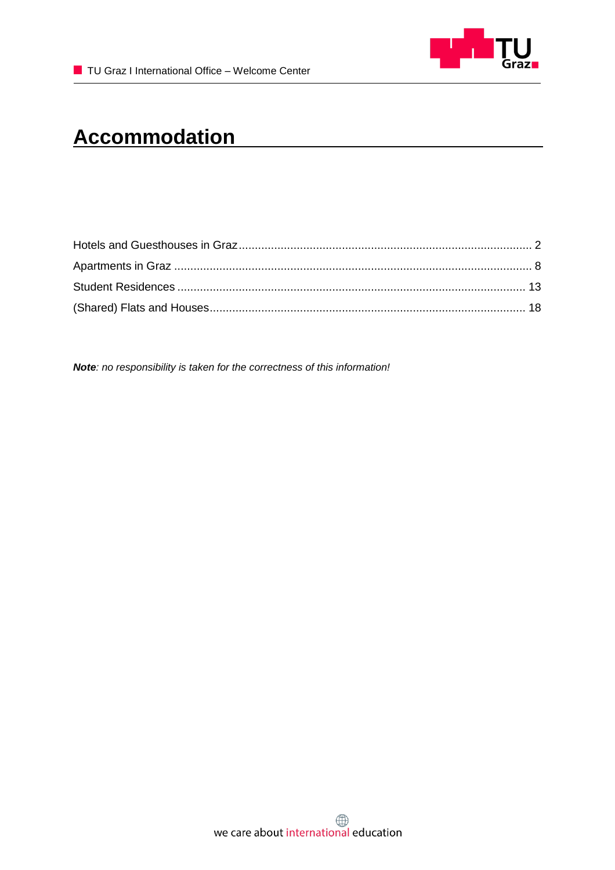

# **Accommodation**

*Note: no responsibility is taken for the correctness of this information!*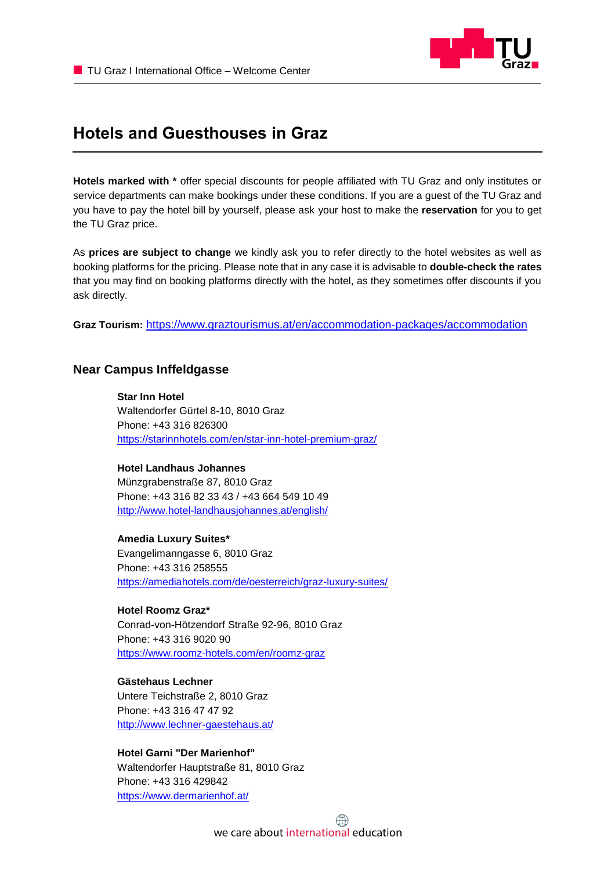

## <span id="page-1-0"></span>**Hotels and Guesthouses in Graz**

**Hotels marked with \*** offer special discounts for people affiliated with TU Graz and only institutes or service departments can make bookings under these conditions. If you are a guest of the TU Graz and you have to pay the hotel bill by yourself, please ask your host to make the **reservation** for you to get the TU Graz price.

As **prices are subject to change** we kindly ask you to refer directly to the hotel websites as well as booking platforms for the pricing. Please note that in any case it is advisable to **double-check the rates** that you may find on booking platforms directly with the hotel, as they sometimes offer discounts if you ask directly.

**Graz Tourism:** <https://www.graztourismus.at/en/accommodation-packages/accommodation>

## **Near Campus Inffeldgasse**

**Star Inn Hotel** Waltendorfer Gürtel 8-10, 8010 Graz Phone: +43 316 826300 <https://starinnhotels.com/en/star-inn-hotel-premium-graz/>

**Hotel Landhaus Johannes** Münzgrabenstraße 87, 8010 Graz Phone: +43 316 82 33 43 / +43 664 549 10 49 <http://www.hotel-landhausjohannes.at/english/>

**Amedia Luxury Suites\*** Evangelimanngasse 6, 8010 Graz Phone: +43 316 258555 <https://amediahotels.com/de/oesterreich/graz-luxury-suites/>

**Hotel Roomz Graz\*** Conrad-von-Hötzendorf Straße 92-96, 8010 Graz Phone: +43 316 9020 90 <https://www.roomz-hotels.com/en/roomz-graz>

**Gästehaus Lechner** Untere Teichstraße 2, 8010 Graz Phone: +43 316 47 47 92 <http://www.lechner-gaestehaus.at/>

**Hotel Garni "Der Marienhof"** Waltendorfer Hauptstraße 81, 8010 Graz Phone: +43 316 429842 <https://www.dermarienhof.at/>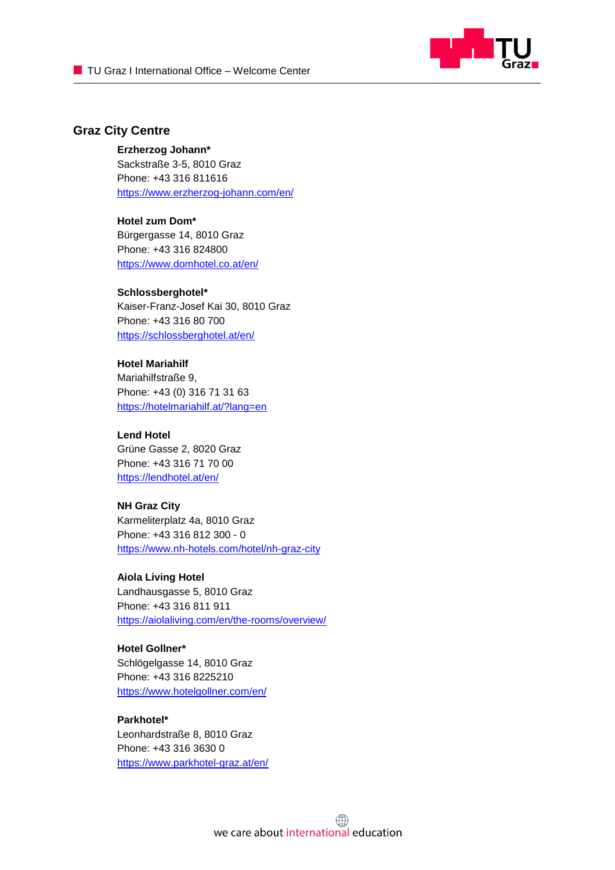

## **Graz City Centre**

#### **Erzherzog Johann\***

Sackstraße 3-5, 8010 Graz Phone: +43 316 811616 <https://www.erzherzog-johann.com/en/>

#### **Hotel zum Dom\***

Bürgergasse 14, 8010 Graz Phone: +43 316 824800 <https://www.domhotel.co.at/en/>

#### **Schlossberghotel\***

Kaiser-Franz-Josef Kai 30, 8010 Graz Phone: +43 316 80 700 <https://schlossberghotel.at/en/>

#### **Hotel Mariahilf**

Mariahilfstraße 9, [Phone: +43 \(0\) 316 71 31 63](tel:0043316713163) <https://hotelmariahilf.at/?lang=en>

#### **Lend Hotel** Grüne Gasse 2, 8020 Graz

Phone: +43 316 71 70 00 <https://lendhotel.at/en/>

#### **NH Graz City**

Karmeliterplatz 4a, 8010 Graz Phone: +43 316 812 300 - 0 <https://www.nh-hotels.com/hotel/nh-graz-city>

#### **Aiola Living Hotel**

Landhausgasse 5, 8010 Graz Phone: +43 316 811 911 <https://aiolaliving.com/en/the-rooms/overview/>

## **Hotel Gollner\***

Schlögelgasse 14, 8010 Graz Phone: +43 316 8225210 <https://www.hotelgollner.com/en/>

## **Parkhotel\***

Leonhardstraße 8, 8010 Graz Phone: +43 316 3630 0 <https://www.parkhotel-graz.at/en/>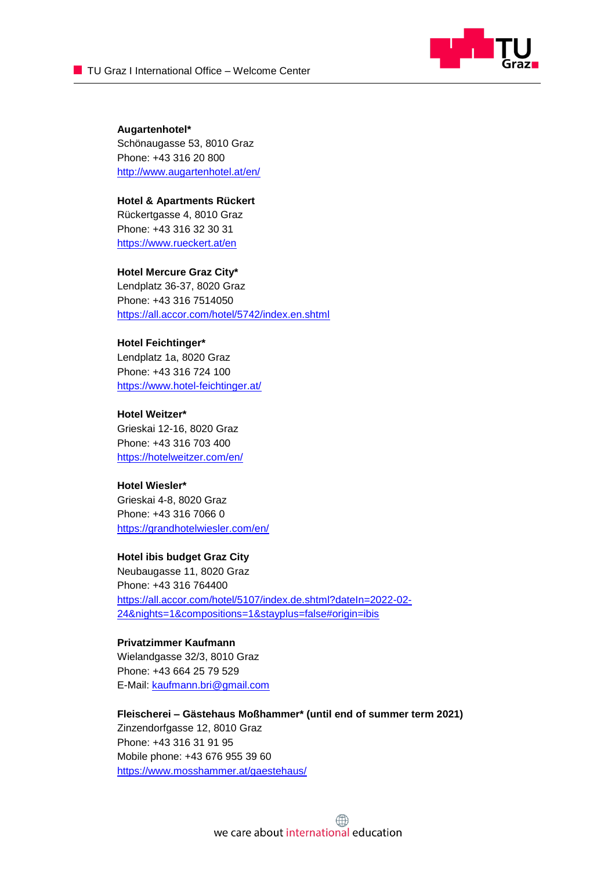

**Augartenhotel\*** Schönaugasse 53, 8010 Graz Phone: +43 316 20 800 <http://www.augartenhotel.at/en/>

**Hotel & Apartments Rückert** Rückertgasse 4, 8010 Graz Phone: +43 316 32 30 31 <https://www.rueckert.at/en>

**Hotel Mercure Graz City\*** Lendplatz 36-37, 8020 Graz Phone: +43 316 7514050 <https://all.accor.com/hotel/5742/index.en.shtml>

**Hotel Feichtinger\*** Lendplatz 1a, 8020 Graz Phone: +43 316 724 100 <https://www.hotel-feichtinger.at/>

**Hotel Weitzer\*** Grieskai 12-16, 8020 Graz Phone: +43 316 703 400 https://hotelweitzer.com/en/

**Hotel Wiesler\*** Grieskai 4-8, 8020 Graz Phone: +43 316 7066 0 <https://grandhotelwiesler.com/en/>

**Hotel ibis budget Graz City**

Neubaugasse 11, 8020 Graz Phone: +43 316 764400 [https://all.accor.com/hotel/5107/index.de.shtml?dateIn=2022-02-](https://all.accor.com/hotel/5107/index.de.shtml?dateIn=2022-02-24&nights=1&compositions=1&stayplus=false#origin=ibis) [24&nights=1&compositions=1&stayplus=false#origin=ibis](https://all.accor.com/hotel/5107/index.de.shtml?dateIn=2022-02-24&nights=1&compositions=1&stayplus=false#origin=ibis)

#### **Privatzimmer Kaufmann**

Wielandgasse 32/3, 8010 Graz Phone: +43 664 25 79 529 E-Mail: [kaufmann.bri@gmail.com](mailto:kaufmann.bri@gmail.com)

**Fleischerei – Gästehaus Moßhammer\* (until end of summer term 2021)** Zinzendorfgasse 12, 8010 Graz Phone: +43 316 31 91 95 Mobile phone: +43 676 955 39 60 <https://www.mosshammer.at/gaestehaus/>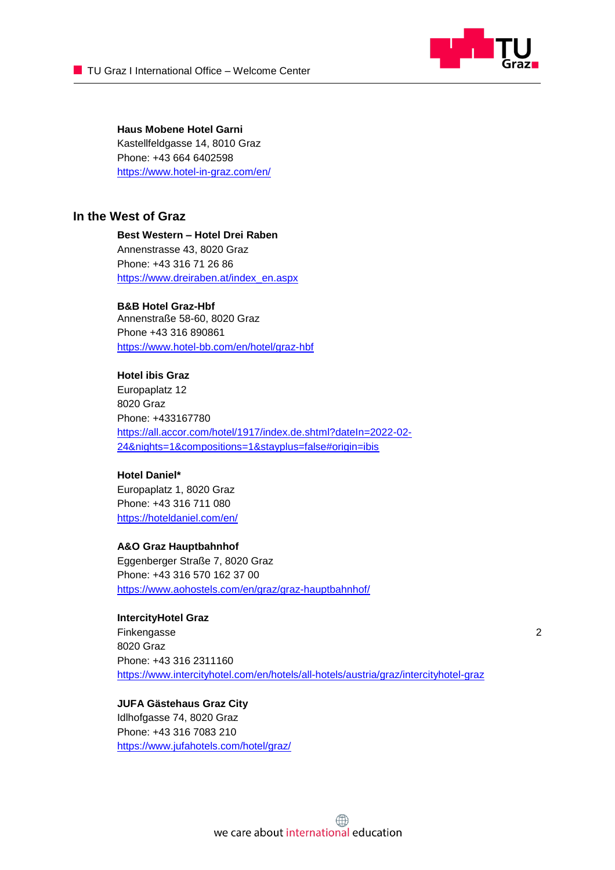

**Haus Mobene Hotel Garni** Kastellfeldgasse 14, 8010 Graz Phone: +43 664 6402598 <https://www.hotel-in-graz.com/en/>

## **In the West of Graz**

#### **Best Western – Hotel Drei Raben**

Annenstrasse 43, 8020 Graz Phone: +43 316 71 26 86 [https://www.dreiraben.at/index\\_en.aspx](https://www.dreiraben.at/index_en.aspx)

#### **B&B Hotel Graz-Hbf**

Annenstraße 58-60, 8020 Graz Phone +43 316 890861 <https://www.hotel-bb.com/en/hotel/graz-hbf>

#### **Hotel ibis Graz**

Europaplatz 12 8020 Graz Phone: +433167780 [https://all.accor.com/hotel/1917/index.de.shtml?dateIn=2022-02-](https://all.accor.com/hotel/1917/index.de.shtml?dateIn=2022-02-24&nights=1&compositions=1&stayplus=false#origin=ibis) [24&nights=1&compositions=1&stayplus=false#origin=ibis](https://all.accor.com/hotel/1917/index.de.shtml?dateIn=2022-02-24&nights=1&compositions=1&stayplus=false#origin=ibis)

#### **Hotel Daniel\***

Europaplatz 1, 8020 Graz Phone: +43 316 711 080 <https://hoteldaniel.com/en/>

#### **A&O Graz Hauptbahnhof**

Eggenberger Straße 7, 8020 Graz Phone: +43 316 570 162 37 00 <https://www.aohostels.com/en/graz/graz-hauptbahnhof/>

#### **IntercityHotel Graz**

Finkengasse 2 8020 Graz Phone: +43 316 2311160 <https://www.intercityhotel.com/en/hotels/all-hotels/austria/graz/intercityhotel-graz>

#### **JUFA Gästehaus Graz City**

Idlhofgasse 74, 8020 Graz Phone: +43 316 7083 210 <https://www.jufahotels.com/hotel/graz/>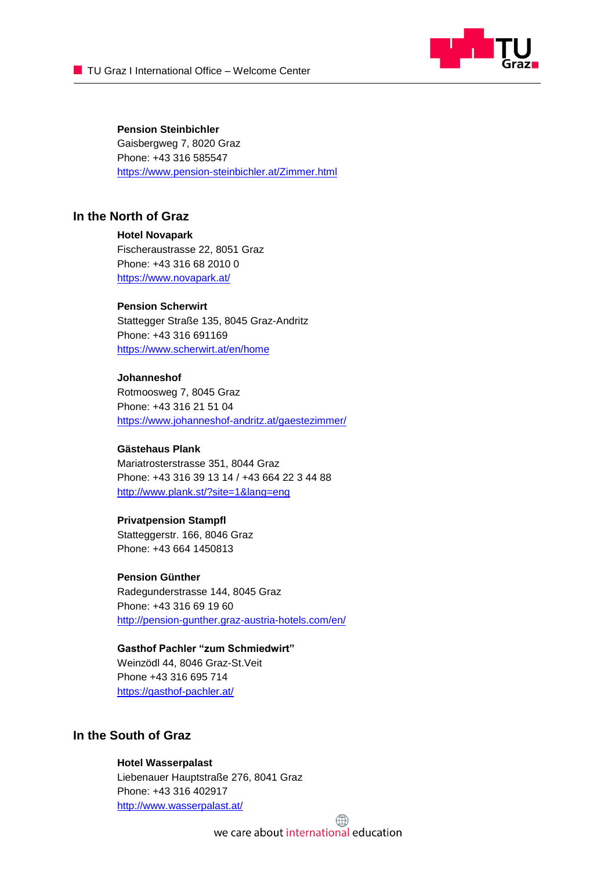

#### **Pension Steinbichler**

Gaisbergweg 7, 8020 Graz Phone: +43 316 585547 <https://www.pension-steinbichler.at/Zimmer.html>

## **In the North of Graz**

#### **Hotel Novapark**

Fischeraustrasse 22, 8051 Graz Phone: [+43 316 68 2010 0](tel:+433166820100)  <https://www.novapark.at/>

#### **Pension Scherwirt**

Stattegger Straße 135, 8045 Graz-Andritz Phone: +43 316 691169 <https://www.scherwirt.at/en/home>

#### **Johanneshof**

Rotmoosweg 7, 8045 Graz Phone: +43 316 21 51 04 <https://www.johanneshof-andritz.at/gaestezimmer/>

#### **Gästehaus Plank**

Mariatrosterstrasse 351, 8044 Graz Phone: +43 316 39 13 14 / +43 664 22 3 44 88 <http://www.plank.st/?site=1&lang=eng>

#### **Privatpension Stampfl**

Statteggerstr. 166, 8046 Graz Phone: +43 664 1450813

#### **Pension Günther**

Radegunderstrasse 144, 8045 Graz Phone: +43 316 69 19 60 <http://pension-gunther.graz-austria-hotels.com/en/>

## **Gasthof Pachler "zum Schmiedwirt"**

Weinzödl 44, 8046 Graz-St.Veit Phone +43 316 695 714 <https://gasthof-pachler.at/>

## **In the South of Graz**

#### **Hotel Wasserpalast**

Liebenauer Hauptstraße 276, 8041 Graz Phone: +43 316 402917 <http://www.wasserpalast.at/>

we care about international education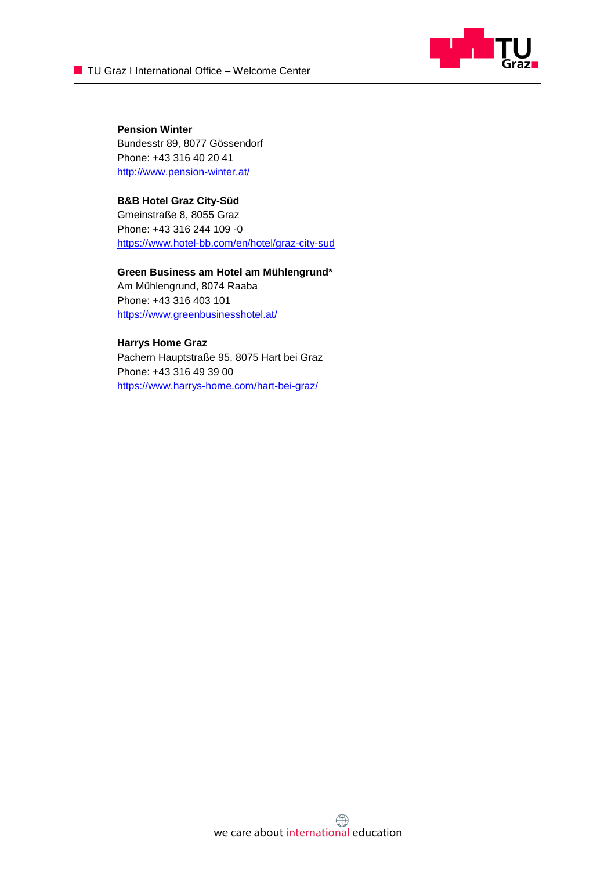

**Pension Winter** Bundesstr 89, 8077 Gössendorf Phone: +43 316 40 20 41 <http://www.pension-winter.at/>

**B&B Hotel Graz City-Süd** Gmeinstraße 8, 8055 Graz Phone: +43 316 244 109 -0 <https://www.hotel-bb.com/en/hotel/graz-city-sud>

**Green Business am Hotel am Mühlengrund\*** Am Mühlengrund, 8074 Raaba Phone: +43 316 403 101 <https://www.greenbusinesshotel.at/>

#### **Harrys Home Graz**

Pachern Hauptstraße 95, 8075 Hart bei Graz Phone: +43 316 49 39 00 https://www.harrys-home.com/hart-bei-graz/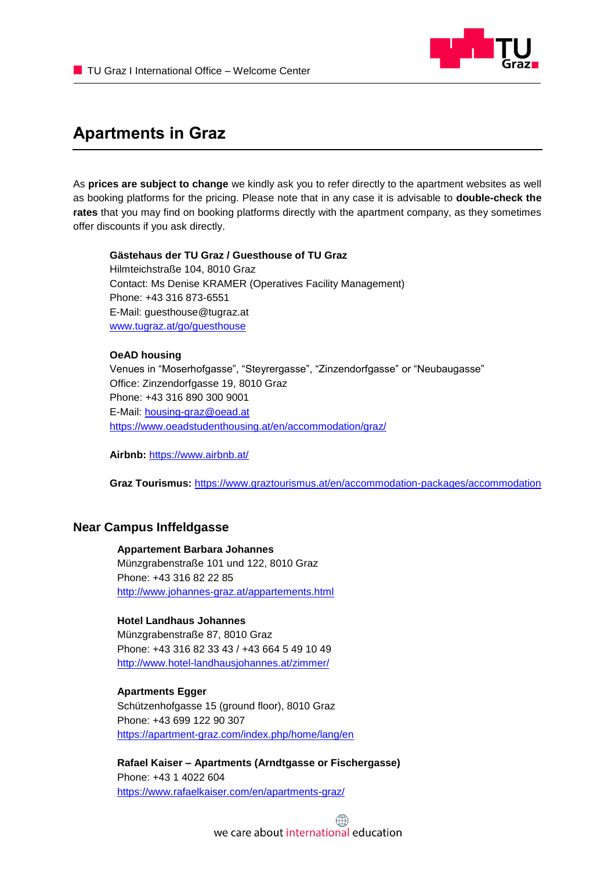

## <span id="page-7-0"></span>**Apartments in Graz**

As **prices are subject to change** we kindly ask you to refer directly to the apartment websites as well as booking platforms for the pricing. Please note that in any case it is advisable to **double-check the rates** that you may find on booking platforms directly with the apartment company, as they sometimes offer discounts if you ask directly.

**Gästehaus der TU Graz / Guesthouse of TU Graz** Hilmteichstraße 104, 8010 Graz Contact: Ms Denise KRAMER (Operatives Facility Management) Phone: +43 316 873-6551 E-Mail: guesthouse@tugraz.at [www.tugraz.at/go/guesthouse](http://www.tugraz.at/go/guesthouse)

#### **OeAD housing**

Venues in "Moserhofgasse", "Steyrergasse", "Zinzendorfgasse" or "Neubaugasse" Office: Zinzendorfgasse 19, 8010 Graz Phone: +43 316 890 [300 9001](tel:+433168903009001) E-Mail: [housing-graz@oead.at](mailto:housing-graz@oead.at) <https://www.oeadstudenthousing.at/en/accommodation/graz/>

**Airbnb:** <https://www.airbnb.at/>

**Graz Tourismus:** <https://www.graztourismus.at/en/accommodation-packages/accommodation>

## **Near Campus Inffeldgasse**

**Appartement Barbara Johannes** Münzgrabenstraße 101 und 122, 8010 Graz Phone: +43 316 82 22 85 <http://www.johannes-graz.at/appartements.html>

#### **Hotel Landhaus Johannes**

Münzgrabenstraße 87, 8010 Graz Phone: +43 316 82 33 43 / +43 664 5 49 10 49 <http://www.hotel-landhausjohannes.at/zimmer/>

#### **Apartments Egger**

Schützenhofgasse 15 (ground floor), 8010 Graz Phone: +43 699 122 90 307 <https://apartment-graz.com/index.php/home/lang/en>

**Rafael Kaiser – Apartments (Arndtgasse or Fischergasse)** Phone: [+43 1 4022 604](tel:+14022604) <https://www.rafaelkaiser.com/en/apartments-graz/>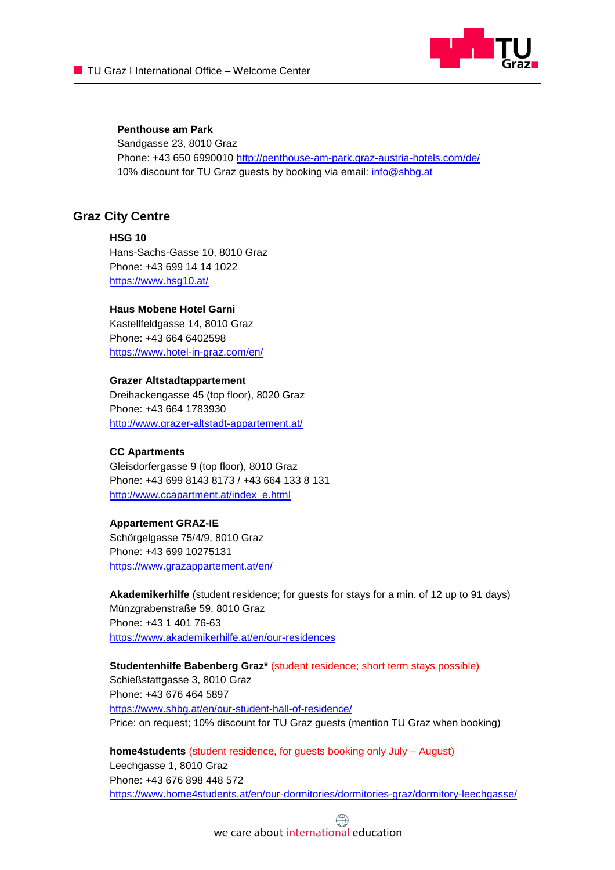

## **Penthouse am Park**

Sandgasse 23, 8010 Graz Phone: +43 650 6990010 <http://penthouse-am-park.graz-austria-hotels.com/de/> 10% discount for TU Graz guests by booking via email: [info@shbg.at](mailto:info@shbg.at)

## **Graz City Centre**

**HSG 10** Hans-Sachs-Gasse 10, 8010 Graz Phone: +43 699 14 14 1022 <https://www.hsg10.at/>

#### **Haus Mobene Hotel Garni**

Kastellfeldgasse 14, 8010 Graz Phone: +43 664 6402598 <https://www.hotel-in-graz.com/en/>

#### **Grazer Altstadtappartement**

Dreihackengasse 45 (top floor), 8020 Graz Phone: +43 664 1783930 <http://www.grazer-altstadt-appartement.at/>

#### **CC Apartments**

Gleisdorfergasse 9 (top floor), 8010 Graz Phone: +43 699 8143 8173 / +43 664 133 8 131 [http://www.ccapartment.at/index\\_e.html](http://www.ccapartment.at/index_e.html)

#### **Appartement GRAZ-IE**

Schörgelgasse 75/4/9, 8010 Graz Phone: +43 699 10275131 <https://www.grazappartement.at/en/>

**Akademikerhilfe** (student residence; for guests for stays for a min. of 12 up to 91 days) Münzgrabenstraße 59, 8010 Graz Phone: +43 1 401 76-63 <https://www.akademikerhilfe.at/en/our-residences>

**Studentenhilfe Babenberg Graz\*** (student residence; short term stays possible) Schießstattgasse 3, 8010 Graz Phone: +43 676 464 5897 <https://www.shbg.at/en/our-student-hall-of-residence/> Price: on request; 10% discount for TU Graz guests (mention TU Graz when booking)

**home4students** (student residence, for guests booking only July – August) Leechgasse 1, 8010 Graz Phone: +43 676 898 448 572 <https://www.home4students.at/en/our-dormitories/dormitories-graz/dormitory-leechgasse/>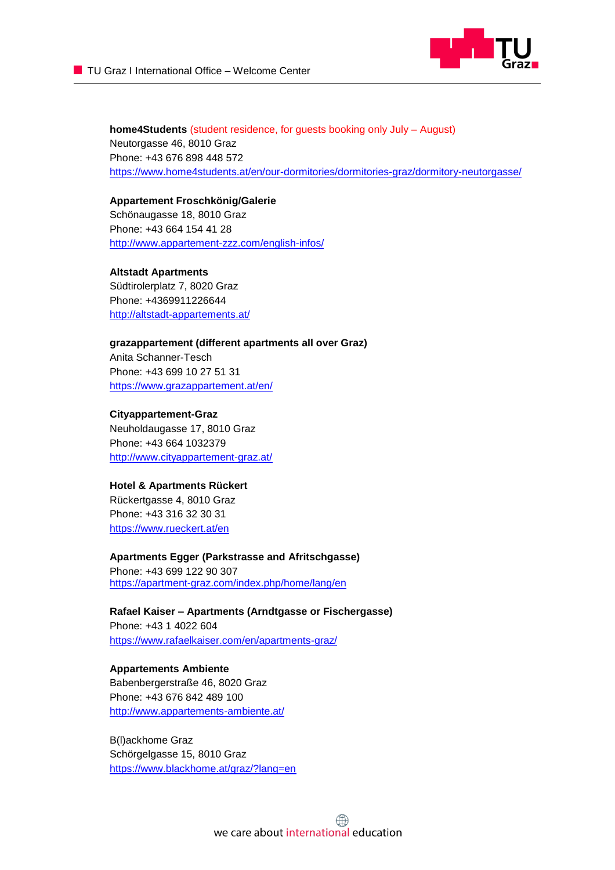

**home4Students** (student residence, for guests booking only July – August) Neutorgasse 46, 8010 Graz Phone: +43 676 898 448 572 <https://www.home4students.at/en/our-dormitories/dormitories-graz/dormitory-neutorgasse/>

**Appartement Froschkönig/Galerie** Schönaugasse 18, 8010 Graz Phone: +43 664 154 41 28 <http://www.appartement-zzz.com/english-infos/>

**Altstadt Apartments** Südtirolerplatz 7, 8020 Graz Phone: +4369911226644 <http://altstadt-appartements.at/>

**grazappartement (different apartments all over Graz)** Anita Schanner-Tesch Phone: +43 699 10 27 51 31 <https://www.grazappartement.at/en/>

**Cityappartement-Graz** Neuholdaugasse 17, 8010 Graz Phone: +43 664 1032379 <http://www.cityappartement-graz.at/>

#### **Hotel & Apartments Rückert**

Rückertgasse 4, 8010 Graz Phone: +43 316 32 30 31 <https://www.rueckert.at/en>

**Apartments Egger (Parkstrasse and Afritschgasse)**

Phone: +43 699 122 90 307 <https://apartment-graz.com/index.php/home/lang/en>

**Rafael Kaiser – Apartments (Arndtgasse or Fischergasse)** Phone: [+43 1 4022 604](tel:+14022604) <https://www.rafaelkaiser.com/en/apartments-graz/>

**Appartements Ambiente** Babenbergerstraße 46, 8020 Graz Phone: +43 676 842 489 100 <http://www.appartements-ambiente.at/>

B(l)ackhome Graz Schörgelgasse 15, 8010 Graz <https://www.blackhome.at/graz/?lang=en>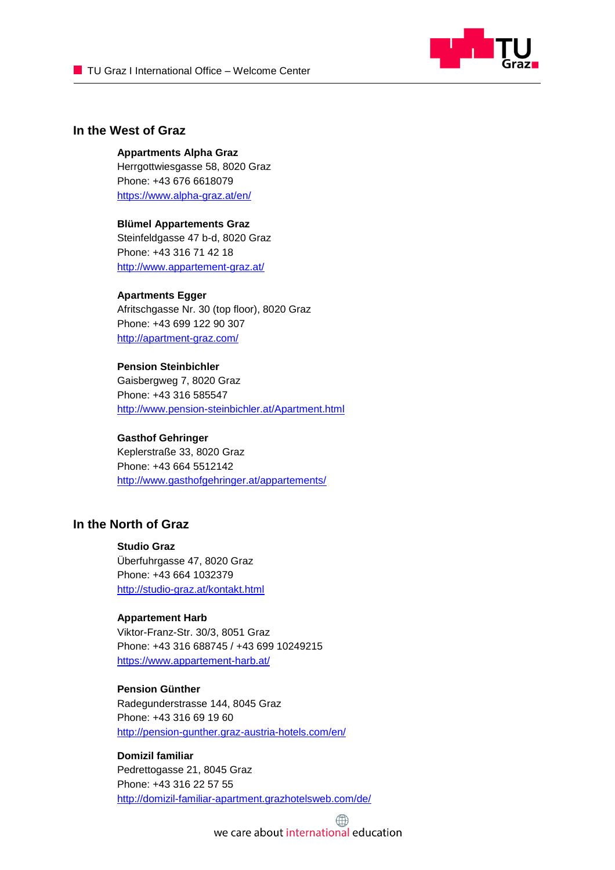

## **In the West of Graz**

#### **Appartments Alpha Graz**

Herrgottwiesgasse 58, 8020 Graz Phone: +43 676 6618079 <https://www.alpha-graz.at/en/>

## **Blümel Appartements Graz**

Steinfeldgasse 47 b-d, 8020 Graz Phone: +43 316 71 42 18 <http://www.appartement-graz.at/>

#### **Apartments Egger**

Afritschgasse Nr. 30 (top floor), 8020 Graz Phone: +43 699 122 90 307 http://apartment-graz.com/

## **Pension Steinbichler**

Gaisbergweg 7, 8020 Graz Phone: +43 316 585547 <http://www.pension-steinbichler.at/Apartment.html>

#### **Gasthof Gehringer**

Keplerstraße 33, 8020 Graz Phone: +43 664 5512142 <http://www.gasthofgehringer.at/appartements/>

## **In the North of Graz**

#### **Studio Graz**

Überfuhrgasse 47, 8020 Graz Phone: +43 664 1032379 <http://studio-graz.at/kontakt.html>

#### **Appartement Harb**

Viktor-Franz-Str. 30/3, 8051 Graz Phone: +43 316 688745 / +43 699 10249215 <https://www.appartement-harb.at/>

### **Pension Günther**

Radegunderstrasse 144, 8045 Graz Phone: +43 316 69 19 60 <http://pension-gunther.graz-austria-hotels.com/en/>

## **Domizil familiar** Pedrettogasse 21, 8045 Graz Phone: +43 316 22 57 55 <http://domizil-familiar-apartment.grazhotelsweb.com/de/>

we care about international education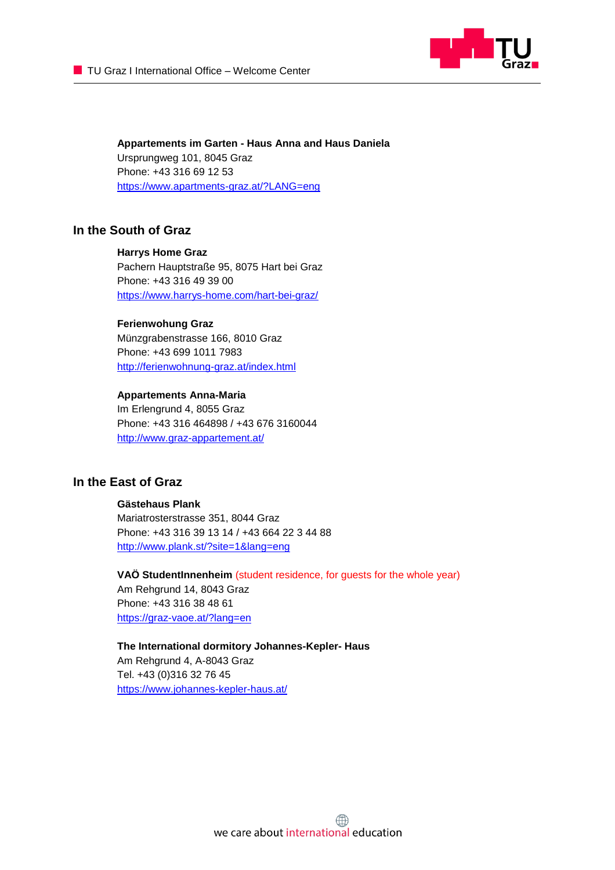

**Appartements im Garten - Haus Anna and Haus Daniela** Ursprungweg 101, 8045 Graz Phone: +43 316 69 12 53 <https://www.apartments-graz.at/?LANG=eng>

## **In the South of Graz**

## **Harrys Home Graz**

Pachern Hauptstraße 95, 8075 Hart bei Graz Phone: +43 316 49 39 00 https://www.harrys-home.com/hart-bei-graz/

#### **Ferienwohung Graz**

Münzgrabenstrasse 166, 8010 Graz Phone: +43 699 1011 7983 <http://ferienwohnung-graz.at/index.html>

#### **Appartements Anna-Maria**

Im Erlengrund 4, 8055 Graz Phone: +43 316 464898 / +43 676 3160044 <http://www.graz-appartement.at/>

## **In the East of Graz**

#### **Gästehaus Plank**

Mariatrosterstrasse 351, 8044 Graz Phone: +43 316 39 13 14 / +43 664 22 3 44 88 <http://www.plank.st/?site=1&lang=eng>

**VAÖ StudentInnenheim** (student residence, for guests for the whole year) Am Rehgrund 14, 8043 Graz Phone: +43 316 38 48 61 <https://graz-vaoe.at/?lang=en>

**The International dormitory Johannes-Kepler- Haus** Am Rehgrund 4, A-8043 Graz Tel. +43 (0)316 32 76 45 [https://www.johannes-kepler-haus.at/](http://www.johannes-kepler-haus.at/)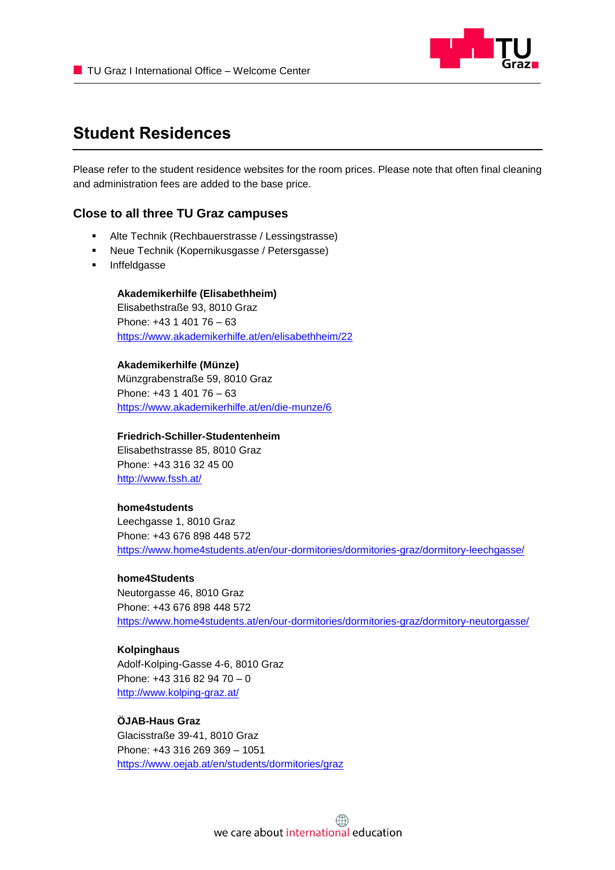

## <span id="page-12-0"></span>**Student Residences**

Please refer to the student residence websites for the room prices. Please note that often final cleaning and administration fees are added to the base price.

## **Close to all three TU Graz campuses**

- Alte Technik (Rechbauerstrasse / Lessingstrasse)
- Neue Technik (Kopernikusgasse / Petersgasse)
- Inffeldgasse

**Akademikerhilfe (Elisabethheim)**  Elisabethstraße 93, 8010 Graz Phone: +43 1 401 76 – 63 <https://www.akademikerhilfe.at/en/elisabethheim/22>

#### **Akademikerhilfe (Münze)**

Münzgrabenstraße 59, 8010 Graz Phone: +43 1 401 76 – 63 <https://www.akademikerhilfe.at/en/die-munze/6>

### **Friedrich-Schiller-Studentenheim**

Elisabethstrasse 85, 8010 Graz Phone: +43 316 32 45 00 <http://www.fssh.at/>

#### **home4students**

Leechgasse 1, 8010 Graz Phone: +43 676 898 448 572 https://www.home4students.at/en/our-dormitories/dormitories-graz/dormitory-leechgasse/

#### **home4Students**

Neutorgasse 46, 8010 Graz Phone: +43 676 898 448 572 https://www.home4students.at/en/our-dormitories/dormitories-graz/dormitory-neutorgasse/

#### **Kolpinghaus**

Adolf-Kolping-Gasse 4-6, 8010 Graz Phone: +43 316 82 94 70 – 0 <http://www.kolping-graz.at/>

#### **ÖJAB-Haus Graz**

Glacisstraße 39-41, 8010 Graz Phone: +43 316 269 369 – 1051 <https://www.oejab.at/en/students/dormitories/graz>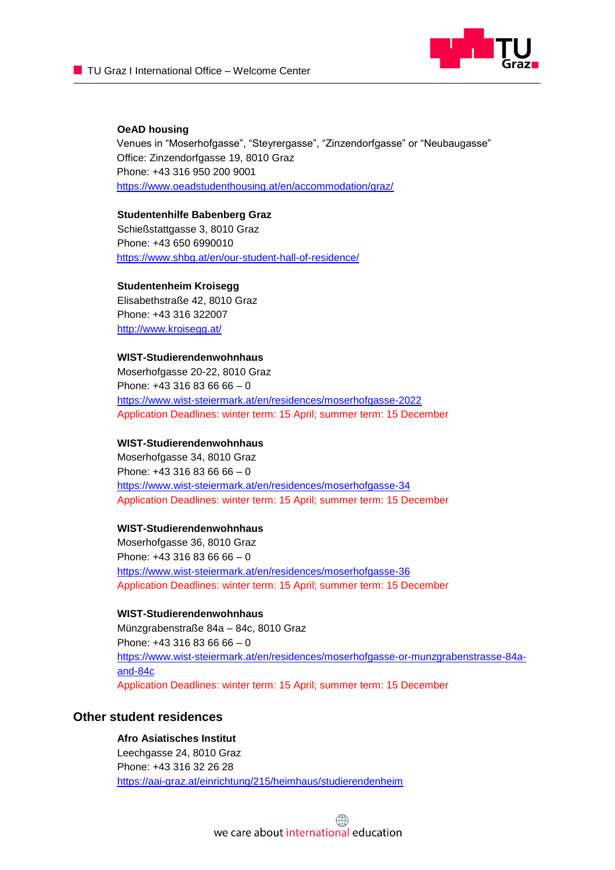

#### **OeAD housing**

Venues in "Moserhofgasse", "Steyrergasse", "Zinzendorfgasse" or "Neubaugasse" Office: Zinzendorfgasse 19, 8010 Graz Phone: +43 316 950 200 9001 https://www.oeadstudenthousing.at/en/accommodation/graz/

#### **Studentenhilfe Babenberg Graz**

Schießstattgasse 3, 8010 Graz Phone: +43 650 6990010 <https://www.shbg.at/en/our-student-hall-of-residence/>

#### **Studentenheim Kroisegg**

Elisabethstraße 42, 8010 Graz Phone: +43 316 322007 <http://www.kroisegg.at/>

## **WIST-Studierendenwohnhaus**

Moserhofgasse 20-22, 8010 Graz Phone:  $+43$  316 83 66 66 - 0 <https://www.wist-steiermark.at/en/residences/moserhofgasse-2022> Application Deadlines: winter term: 15 April; summer term: 15 December

#### **WIST-Studierendenwohnhaus**

Moserhofgasse 34, 8010 Graz Phone:  $+43$  316 83 66 66 - 0 <https://www.wist-steiermark.at/en/residences/moserhofgasse-34> Application Deadlines: winter term: 15 April; summer term: 15 December

#### **WIST-Studierendenwohnhaus**

Moserhofgasse 36, 8010 Graz Phone:  $+43$  316 83 66 66 - 0 <https://www.wist-steiermark.at/en/residences/moserhofgasse-36> Application Deadlines: winter term: 15 April; summer term: 15 December

#### **WIST-Studierendenwohnhaus**

Münzgrabenstraße 84a – 84c, 8010 Graz Phone: +43 316 83 66 66 – 0 [https://www.wist-steiermark.at/en/residences/moserhofgasse-or-munzgrabenstrasse-84a](https://www.wist-steiermark.at/en/residences/moserhofgasse-or-munzgrabenstrasse-84a-and-84c)[and-84c](https://www.wist-steiermark.at/en/residences/moserhofgasse-or-munzgrabenstrasse-84a-and-84c) Application Deadlines: winter term: 15 April; summer term: 15 December

### **Other student residences**

**Afro Asiatisches Institut** Leechgasse 24, 8010 Graz Phone: +43 316 32 26 28 <https://aai-graz.at/einrichtung/215/heimhaus/studierendenheim>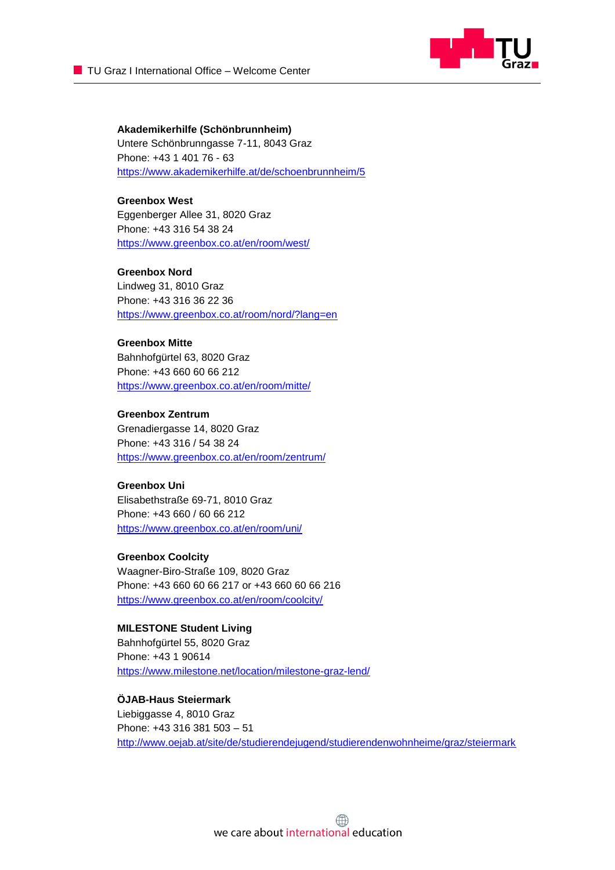

**Akademikerhilfe (Schönbrunnheim)**  Untere Schönbrunngasse 7-11, 8043 Graz Phone: +43 1 401 76 - 63 <https://www.akademikerhilfe.at/de/schoenbrunnheim/5>

**Greenbox West**  Eggenberger Allee 31, 8020 Graz Phone: +43 316 54 38 24 <https://www.greenbox.co.at/en/room/west/>

#### **Greenbox Nord**

Lindweg 31, 8010 Graz Phone: +43 316 36 22 36 <https://www.greenbox.co.at/room/nord/?lang=en>

#### **Greenbox Mitte**

Bahnhofgürtel 63, 8020 Graz Phone: +43 660 60 66 212 <https://www.greenbox.co.at/en/room/mitte/>

#### **Greenbox Zentrum**

Grenadiergasse 14, 8020 Graz Phone: +43 316 / 54 38 24 <https://www.greenbox.co.at/en/room/zentrum/>

#### **Greenbox Uni**

Elisabethstraße 69-71, 8010 Graz Phone: +43 660 / 60 66 212 <https://www.greenbox.co.at/en/room/uni/>

#### **Greenbox Coolcity**

Waagner-Biro-Straße 109, 8020 Graz Phone: +43 660 60 66 217 or +43 660 60 66 216 <https://www.greenbox.co.at/en/room/coolcity/>

#### **MILESTONE Student Living**

Bahnhofgürtel 55, 8020 Graz Phone: +43 1 90614 <https://www.milestone.net/location/milestone-graz-lend/>

## **ÖJAB-Haus Steiermark**

Liebiggasse 4, 8010 Graz Phone: +43 316 381 503 – 51 <http://www.oejab.at/site/de/studierendejugend/studierendenwohnheime/graz/steiermark>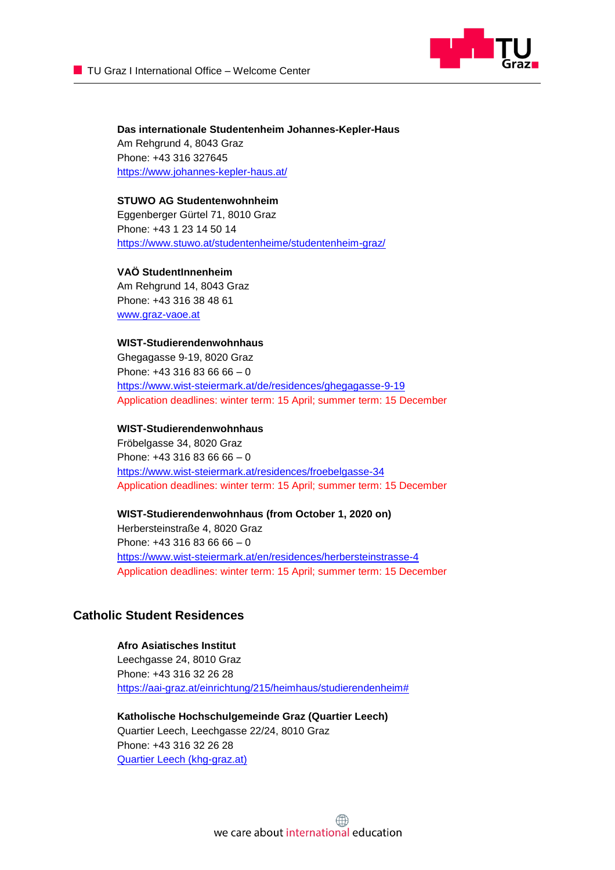

**Das internationale Studentenheim Johannes-Kepler-Haus** Am Rehgrund 4, 8043 Graz Phone: +43 316 327645 [https://www.johannes-kepler-haus.at/](http://www.johannes-kepler-haus.at/)

## **STUWO AG Studentenwohnheim**

Eggenberger Gürtel 71, 8010 Graz Phone: +43 1 23 14 50 14 <https://www.stuwo.at/studentenheime/studentenheim-graz/>

#### **VAÖ StudentInnenheim**

Am Rehgrund 14, 8043 Graz Phone: +43 316 38 48 61 [www.graz-vaoe.at](http://www.graz-vaoe.at/)

#### **WIST-Studierendenwohnhaus**

Ghegagasse 9-19, 8020 Graz Phone:  $+43$  316 83 66 66 - 0 <https://www.wist-steiermark.at/de/residences/ghegagasse-9-19> Application deadlines: winter term: 15 April; summer term: 15 December

#### **WIST-Studierendenwohnhaus**

Fröbelgasse 34, 8020 Graz Phone:  $+43$  316 83 66 66 - 0 <https://www.wist-steiermark.at/residences/froebelgasse-34> Application deadlines: winter term: 15 April; summer term: 15 December

#### **WIST-Studierendenwohnhaus (from October 1, 2020 on)**

Herbersteinstraße 4, 8020 Graz Phone:  $+43$  316 83 66 66 - 0 <https://www.wist-steiermark.at/en/residences/herbersteinstrasse-4> Application deadlines: winter term: 15 April; summer term: 15 December

## **Catholic Student Residences**

#### **Afro Asiatisches Institut**

Leechgasse 24, 8010 Graz Phone: +43 316 32 26 28 [https://aai-graz.at/einrichtung/215/heimhaus/studierendenheim#](https://aai-graz.at/einrichtung/215/heimhaus/studierendenheim)

**Katholische Hochschulgemeinde Graz (Quartier Leech)** Quartier Leech, Leechgasse 22/24, 8010 Graz Phone: +43 316 32 26 28 [Quartier Leech \(khg-graz.at\)](https://www.khg-graz.at/einrichtung/139/studierendenhaeuserreside/heime/quartierleech/article/14200.html)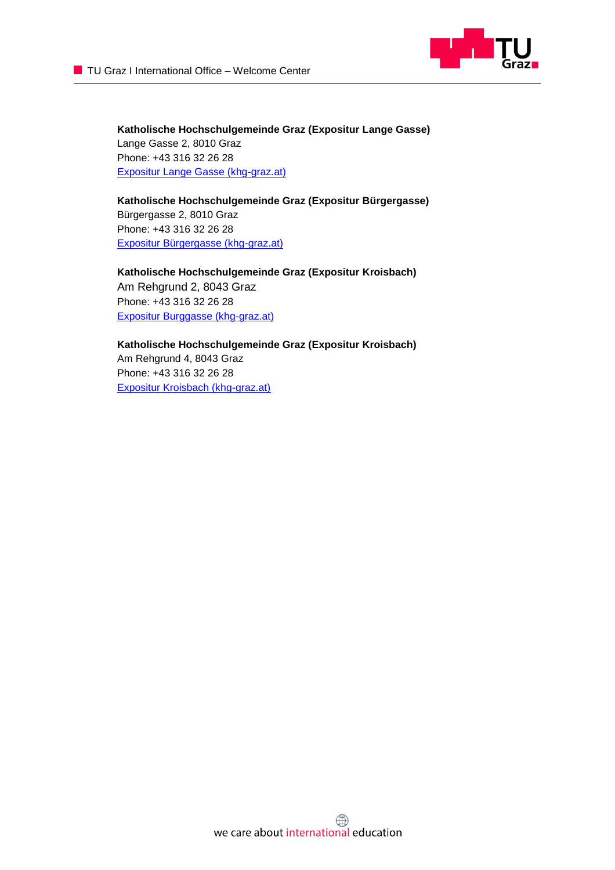

**Katholische Hochschulgemeinde Graz (Expositur Lange Gasse)** Lange Gasse 2, 8010 Graz Phone: +43 316 32 26 28 [Expositur Lange Gasse \(khg-graz.at\)](https://www.khg-graz.at/einrichtung/139/studierendenhaeuserreside/heime/expositurbuergergasse/article/14202.html)

**Katholische Hochschulgemeinde Graz (Expositur Bürgergasse)** Bürgergasse 2, 8010 Graz Phone: +43 316 32 26 28 [Expositur Bürgergasse \(khg-graz.at\)](https://www.khg-graz.at/einrichtung/139/studierendenhaeuserreside/heime/expositurbuergergasse/article/14202.html)

**Katholische Hochschulgemeinde Graz (Expositur Kroisbach)** Am Rehgrund 2, 8043 Graz Phone: +43 316 32 26 28 [Expositur Burggasse \(khg-graz.at\)](https://www.khg-graz.at/einrichtung/139/studierendenhaeuserreside/heime/expositurkroisbach/article/14206.html)

**Katholische Hochschulgemeinde Graz (Expositur Kroisbach)** Am Rehgrund 4, 8043 Graz Phone: +43 316 32 26 28 [Expositur Kroisbach \(khg-graz.at\)](https://www.khg-graz.at/einrichtung/139/studierendenhaeuserreside/heime/expositurkroisbach/article/14206.html)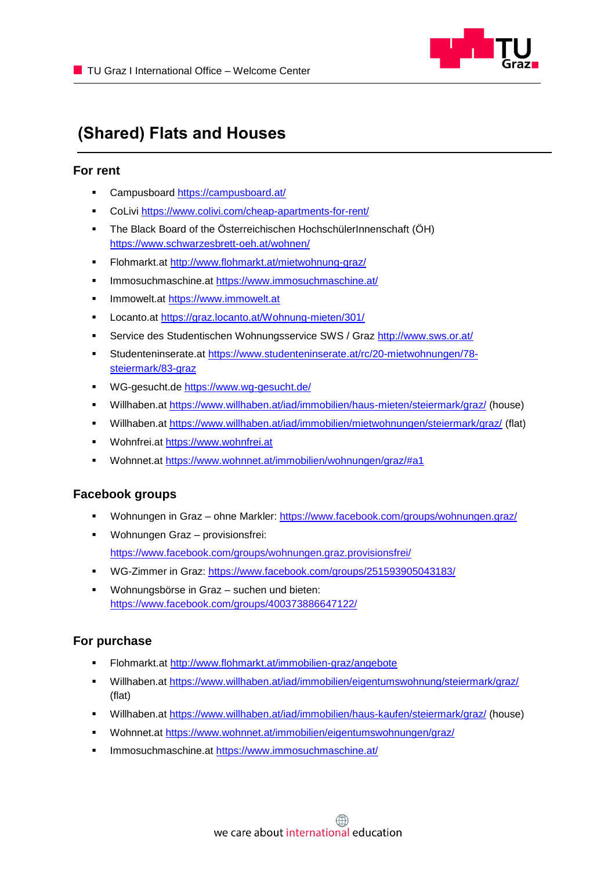

## <span id="page-17-0"></span>**(Shared) Flats and Houses**

## **For rent**

- **EXEC** Campusboard<https://campusboard.at/>
- CoLivi<https://www.colivi.com/cheap-apartments-for-rent/>
- The Black Board of the Österreichischen HochschülerInnenschaft (ÖH) <https://www.schwarzesbrett-oeh.at/wohnen/>
- Flohmarkt.at<http://www.flohmarkt.at/mietwohnung-graz/>
- Immosuchmaschine.at https://www.immosuchmaschine.at/
- **■** Immowelt.at [https://www.immowelt.at](https://www.immowelt.at/)
- Locanto.at https://graz.locanto.at/Wohnung-mieten/301/
- Service des Studentischen Wohnungsservice SWS / Graz<http://www.sws.or.at/>
- Studenteninserate.at [https://www.studenteninserate.at/rc/20-mietwohnungen/78](https://www.studenteninserate.at/rc/20-mietwohnungen/78-steiermark/83-graz) [steiermark/83-graz](https://www.studenteninserate.at/rc/20-mietwohnungen/78-steiermark/83-graz)
- WG-gesucht.de<https://www.wg-gesucht.de/>
- [Willhaben.at](http://www.willhaben.at/iad/immobilien/haus-mieten/steiermark/graz/) <https://www.willhaben.at/iad/immobilien/haus-mieten/steiermark/graz/> (house)
- Willhaben.at<https://www.willhaben.at/iad/immobilien/mietwohnungen/steiermark/graz/> (flat)
- Wohnfrei.at [https://www.wohnfrei.at](https://www.wohnfrei.at/)
- Wohnnet.at<https://www.wohnnet.at/immobilien/wohnungen/graz/#a1>

## **Facebook groups**

- Wohnungen in Graz ohne Markler:<https://www.facebook.com/groups/wohnungen.graz/>
- Wohnungen Graz provisionsfrei: <https://www.facebook.com/groups/wohnungen.graz.provisionsfrei/>
- WG-Zimmer in Graz:<https://www.facebook.com/groups/251593905043183/>
- Wohnungsbörse in Graz suchen und bieten: https://www.facebook.com/groups/400373886647122/

## **For purchase**

- [Flohmarkt.at](http://www.flohmarkt.at/immobilien-graz/) [http://www.flohmarkt.at/immobilien-graz/a](http://www.flohmarkt.at/immobilien-graz/)ngebote
- [Willhaben.at](http://www.willhaben.at/iad/immobilien/eigentumswohnung/steiermark/graz/) <https://www.willhaben.at/iad/immobilien/eigentumswohnung/steiermark/graz/> (flat)
- Willhaben.at<https://www.willhaben.at/iad/immobilien/haus-kaufen/steiermark/graz/> (house)
- Wohnnet.at<https://www.wohnnet.at/immobilien/eigentumswohnungen/graz/>
- Immosuchmaschine.at<https://www.immosuchmaschine.at/>